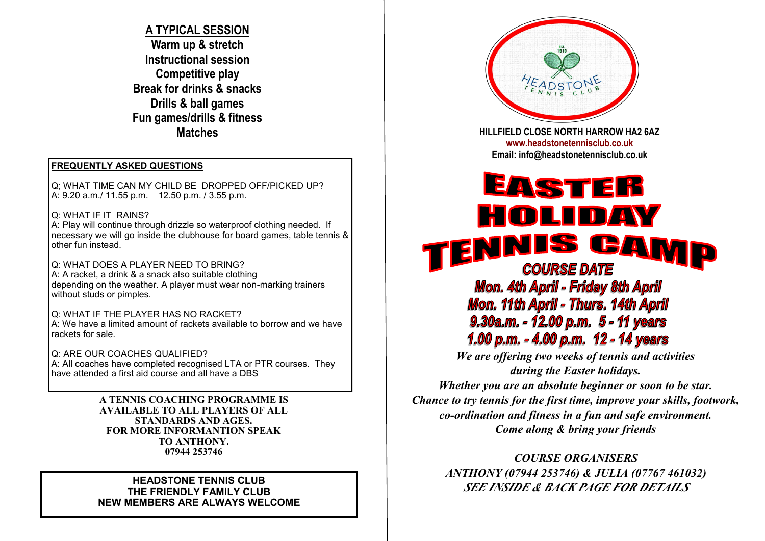**A TYPICAL SESSION Warm up & stretch Instructional session Competitive play Break for drinks & snacks Drills & ball games Fun games/drills & fitness Matches**

## **FREQUENTLY ASKED QUESTIONS**

Q; WHAT TIME CAN MY CHILD BE DROPPED OFF/PICKED UP? A: 9.20 a.m./ 11.55 p.m. 12.50 p.m. / 3.55 p.m.

Q: WHAT IF IT RAINS?

A: Play will continue through drizzle so waterproof clothing needed. If necessary we will go inside the clubhouse for board games, table tennis & other fun instead.

Q: WHAT DOES A PLAYER NEED TO BRING? A: A racket, a drink & a snack also suitable clothing depending on the weather. A player must wear non-marking trainers without studs or pimples.

Q: WHAT IF THE PLAYER HAS NO RACKET? A: We have a limited amount of rackets available to borrow and we have rackets for sale.

Q: ARE OUR COACHES QUALIFIED? A: All coaches have completed recognised LTA or PTR courses. They have attended a first aid course and all have a DBS

> **A TENNIS COACHING PROGRAMME IS AVAILABLE TO ALL PLAYERS OF ALL STANDARDS AND AGES. FOR MORE INFORMANTION SPEAK TO ANTHONY. 07944 253746**

### **HEADSTONE TENNIS CLUB THE FRIENDLY FAMILY CLUB NEW MEMBERS ARE ALWAYS WELCOME**



**HILLFIELD CLOSE NORTH HARROW HA2 6AZ [www.headstonetennisclub.co.uk](http://www.headstonetennisclub.co.uk) Email: info@headstonetennisclub.co.uk**

# EASTER HOLIDAY NIS CAMP E **COURSE DATE Mon. 4th April - Friday 8th April Mon. 11th April - Thurs. 14th April** 9.30a.m. - 12.00 p.m. 5 - 11 years 1.00 p.m. - 4.00 p.m. 12 - 14 years

*We are offering two weeks of tennis and activities during the Easter holidays.*

*Whether you are an absolute beginner or soon to be star. Chance to try tennis for the first time, improve your skills, footwork, co-ordination and fitness in a fun and safe environment. Come along & bring your friends*

*COURSE ORGANISERS ANTHONY (07944 253746) & JULIA (07767 461032) SEE INSIDE & BACK PAGE FOR DETAILS*